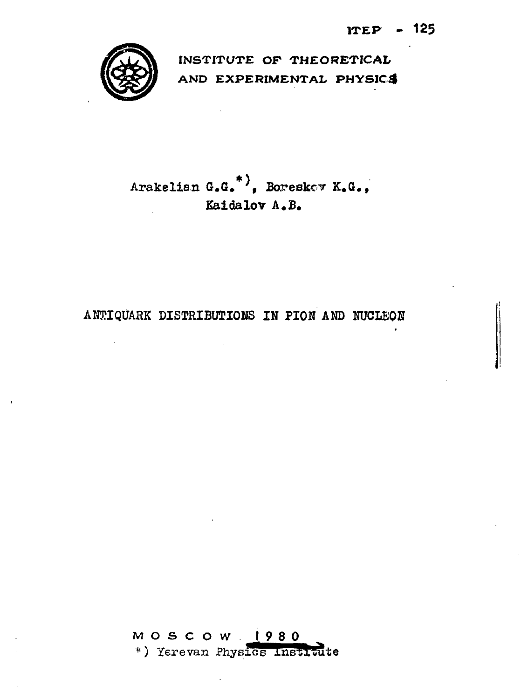

INSTITUTE OF THEORETICAL AND EXPERIMENTAL PHYSICS

Arakelian G.G.<sup>\*</sup>), Boreskov K.G., Kaidalov A.B.

# ANTIQUARK DISTRIBUTIONS IN PION AND NUCLEON

**MOSCOW 1980** \*) Yerevan Physics Institute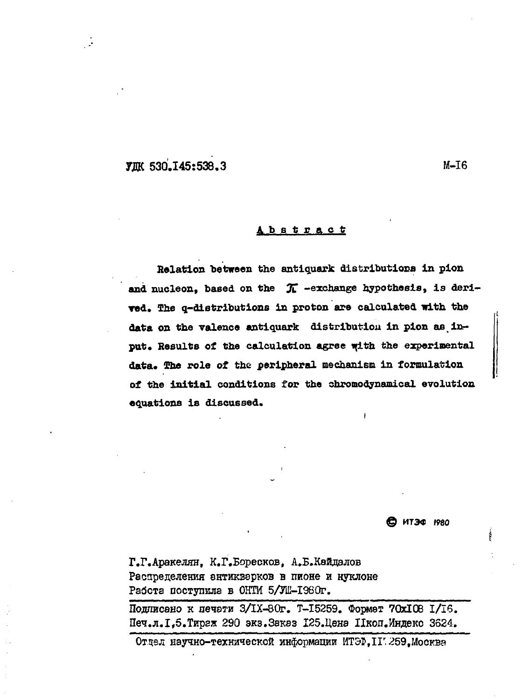# **FIIK 530.145:538.3**

 $M-T6$ 

#### Abstract

Relation between the antiquark distributions in pion and nucleon, based on the  $\pi$  -exchange hypothesis, is derived. The q-distributions in proton are calculated with the data on the valence antiquark distribution in pion as input. Results of the calculation agree with the experimental data. The role of the peripheral mechanism in formulation of the initial conditions for the chromodynamical evolution equations is discussed.

В итэф 1980

Г.Г.Аракелян, К.Г.Боресков, А.Б.Кайдалов Распределения ентикверков в пионе и нуклоне Работа поступила в ОНТИ 5/JL-I980r.

Подписано к печати З/IX-80г. Т-15259. Формат 70хI08 I/I6. Печ.л. І, 5. Тираж 290 экз. Заказ 125. Цена Пкоп. Индекс 3624.

Отдел научно-технической информации ИТЭФ.II 259. Москва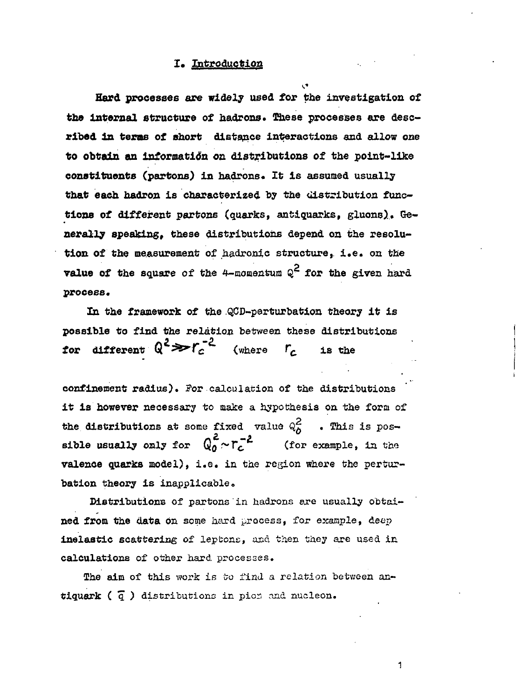#### **I. Introduction**

**Hard processes are widely used for the investigation of the internal structure of hadrons. These processes are desc ribed In terms of short distance interactions and allow** *one* **to obtain an information on distributions of the point-like** constituents (partons) in hadrons. It is assumed usually **that each hadron is characterized by the distribution func tions of different partons (quarks, antiquaries, gluons). Ge nerally speaking, these distributions depend on** the **resolu** tion of the measurement of hadronic structure, i.e. on the **value of the square of the 4-momentum Q<sup>2</sup> for the given hard process.**

**In the framework of** the **QCD-perturbation theory it is possible to find the relation** between these distributions **for different**  $Q^2 \gg r_c^{-2}$  (where  $r_c$  is the

**confinement radius).** ?or calculation of the distributions **it is however** necessary to make a hypothesis on the form of the distributions at some fixed value  $\mathbb{Q}_\lambda^{\mathbb{C}}$  . This is pos ~ **sible usually only** for *QQ* **-~Г** (for example, in the **valence quarks model),** i.e. in the region where the **pertur bation theory is** inapplicable.

Distributions of partons in hadrons are usually obtained **from the data** On some hard process, for exaaple, deep **inelastic** scattering of lepfcone, and then they are used in calculations of other hard processes.

The aim of this work is to find a relation between an**tiquark** ( *"q. )* distributions in pica and nucleon.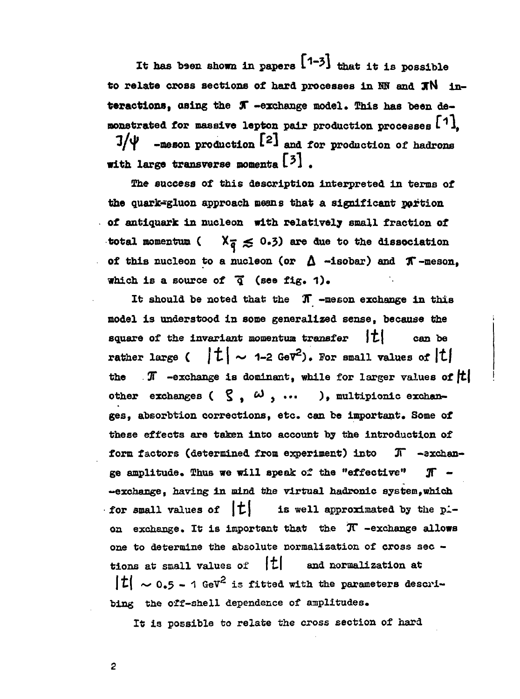**It has been shown in papers** *1\*1* **that it is possible to relate cross sections of hard processes in Ш and JfN in** teractions, using the  $J\hspace{-0.1cm}T$  -exchange model. This has been de**monstrated for massive lepton pair production processes I i, -meson production**  $[2]$  and for production of hadrons **with large transverse momenta** [3]

**The success of this description interpreted in terms of** the quark-gluon approach means that a significant portion **of antiquark in nucleon with relatively small fraction of** total momentum ( $X_{\overline{q}} \leq 0.3$ ) are due to the dissociation of this nucleon to a nucleon (or  $\Delta$  -isobar) and  $\pi$ -meson. **which is a source of "q (see fig. 1).**

**It should be noted that the** *Ж* **-meson exchange in this model is understood in some generalized sense, because the** square of the invariant momentum transfer |t| can be rather large (  $|t| \sim 1$ -2 GeV<sup>2</sup>). For small values of  $|t|$ the  $\pi$  -exchange is dominant, while for larger values of  $|t|$ other exchanges  $( \zeta, \omega, \ldots)$ , multipionic exchan**ges, absorbtion corrections, etc. can be important. Some of these effects are taken into account by the introduction of form factors (determined from experiment) into JT -exchan ge amplitude. Thus we will speak of the "effective" JT - -exchange, having in mind the virtual hadronic system,which** for small values of  $|t|$  is well approximated by the pl**on exchange. It is important that the**  $\pi$  **-exchange allows one to determine the absolute normalization of cross sec tions at small values of |t| and normalization at**  $|t| \sim 0.5 - 1$  GeV<sup>2</sup> is fitted with the parameters descri**bing the off-shell dependence of amplitudes.**

**It is possible to relate the cross section of hard**

 $\overline{c}$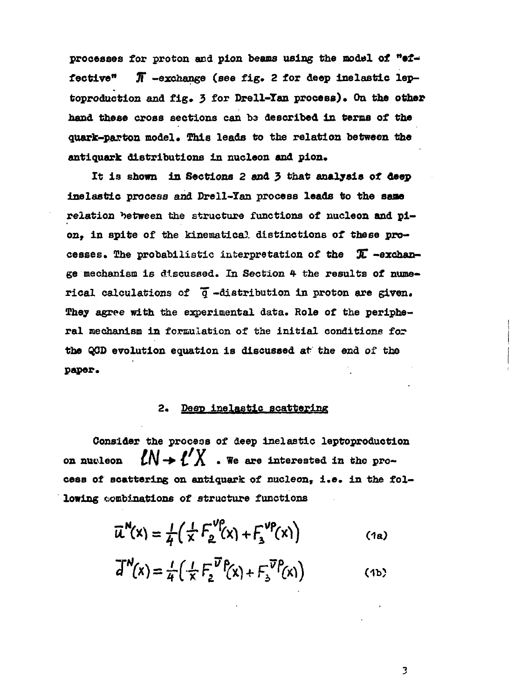**processes for proton and pion beams using the model of "ef fective" JT -exchange (see fig. 2 for deep inelastic lep** toproduction and fig. 3 for Drell-Tan process). On the other hand these cross sections can **be described in terms** of the quark-parton model. This leads to the relation between the **antiquark distributions in nucleon and pion.**

**It is shown in Sections 2 and 5 that analysis of deep Inelastic process and Drell-Tan process leads to the sane relation between the structure functions of nucleon and pi on. in spite of the kinematical distinctions of these pro cesses. The probabilistic interpretation of the** *%* **-exchan ge mechanism is discussed. In Section 4 the results of nume rical calculations of** *"q* **-distribution in proton are given. They agree with the experimental data. Role of the peripheral mechanism in formulation of the initial conditions for the Q0D evolution equation is discussed at the end of the paper.**

## **2\* Deep inelastic scattering**

**Consider the procese of deep inelastic leptoproductlon** on nucleon  $LN \rightarrow L' \Lambda$  . We are interested in the pro **cese of scattering on antiquark of nucleon, i.e. in the fol lowing combinations of structure functions**

لمنعار

$$
\overline{\mu}^N(x) = \frac{1}{4} \left( \frac{1}{x} F_2^{V_P^0}(x) + F_3^{V_P^0}(x) \right)
$$
 (1a)

$$
\overline{d}^N(x) = \frac{1}{4} \left( \frac{1}{X} F_2^{\overline{U}} \mathsf{P}(x) + F_3^{\overline{U}} \mathsf{P}(x) \right) \tag{1b}
$$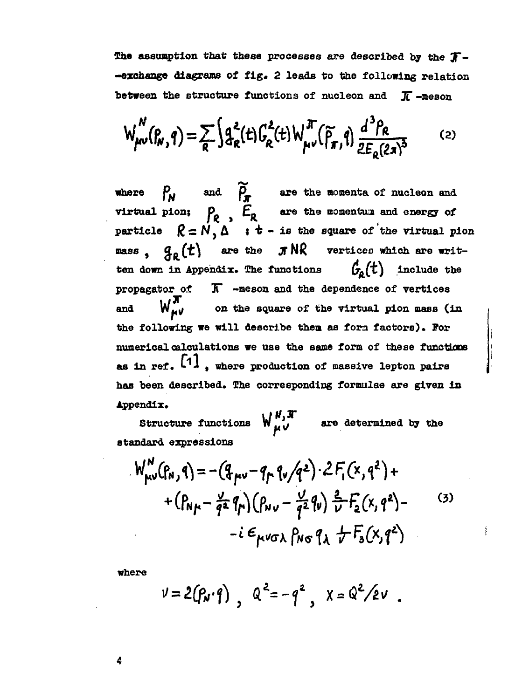**The assumption that these processes are described by the** *"J~-* **-exchange diagrams of fig. 2 leads to the following relation between the structure functions of nucleon and X -meson**

$$
W_{\mu\nu}^N(\beta_R, q) = \sum_R \int d^2_R(t) G_R^2(t) W_{\mu\nu}^N(\tilde{\rho}_R, q) \frac{d^3 \rho_R}{2E_R(2\pi)^3}
$$
 (2)

**where K. and** *P* **are the momenta of nucleon and virtual pion; P** *EB* **are the momentum and energy of**  $\texttt{particle} \quad \mathcal{R} = \mathcal{N}, \Delta \quad \texttt{if t - is the square of the virtual pion}$ **mass** ,  $q_a(t)$  are the **J**<sup>NR</sup> vertices which are writ **ten down in Appendix.** The functions  $G_{\alpha}(t)$  include the **propagator of IT -meson and the dependence of vertices** and  $W_{\mu\nu}^{\prime\prime}$  on the square of the virtual pion mass (in **the following we will describe then as fora factors). For** numerical calculations we use the same form of these functions as in ref. <sup>[7]</sup>, where production of massive lepton pair **has been described. The corresponding formulae are given in Appendix.**

 $W_{\mu\nu}^{\mu,\pi}$  are determined by the **standard expressions**

$$
W_{\mu\nu}^{N}(P_{N},q) = -(q_{\mu\nu} - q_{\mu} q_{\nu}/q^{2}) \cdot 2 F_{1}(x,q^{2}) +
$$
  
+  $(P_{N\mu} - \frac{1}{q^{2}} q_{\mu})(P_{N\nu} - \frac{1}{q^{2}} q_{\nu}) \frac{2}{\nu} F_{2}(x,q^{2}) -$   
-  $i \epsilon_{\mu\nu\sigma\lambda} P_{N\sigma} q_{\lambda} + F_{3}(x,q^{2})$  (3)

ś

**where**

$$
v = 2(p_{N} \cdot q) , Q^{2} = -q^{2} , X = Q^{2}/2v
$$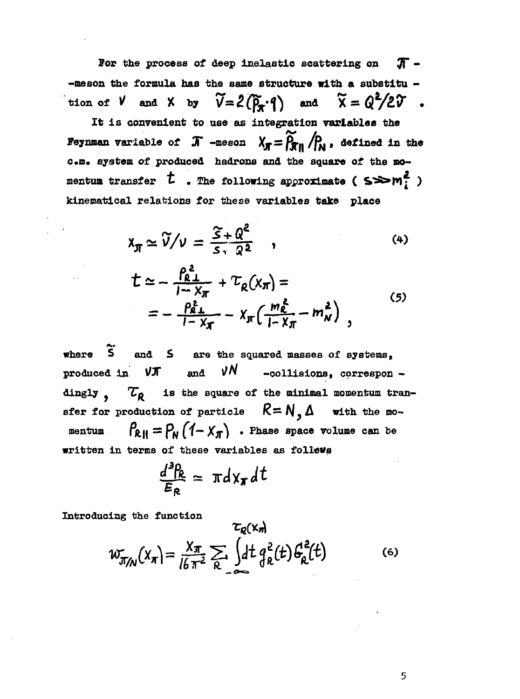For the process of deep inelastic scattering on  $\pi$  - $-$ meson the formula has the same structure with a substitu  $$ tion of  $V$  and  $X$  by  $\widetilde{V} = 2(\widetilde{P}_A \cdot \mathbf{1})$  and  $\widetilde{X} = Q^2/2\widetilde{V}$ .

It is convenient to use as integration variables the Feynman variable of  $\pi$  -meson  $\chi_{\pi} = \widetilde{\rho_{\pi}}_{n} / \rho_{\omega}$ , defined in the c.m. system of produced hadrons and the square of the momentum transfer  $t$  . The following approximate ( $s \gg m_f^2$ ) kinematical relations for these variables take place

$$
\mathbf{x}_{\pi} \simeq \widetilde{\mathbf{V}}/\mathbf{v} = \frac{\widetilde{S} + \mathbf{Q}^2}{\mathbf{S} \cdot \mathbf{Q}^2} \quad , \tag{4}
$$

$$
\begin{split} \n\mathcal{L} &\simeq -\frac{\rho_{\ell}^2}{1-\chi_{\pi}} + \mathcal{L}_{\ell}(x_{\pi}) = \\ \n&= -\frac{\rho_{\ell}^2}{1-\chi_{\pi}} - \chi_{\pi}\left(\frac{m_{\ell}^2}{1-\chi_{\pi}} - m_{N}^2\right) \,, \n\end{split} \tag{5}
$$

where  $\tilde{S}$  and  $S$  are the squared masses of systems, νN produced in  $VJ$ and -collisions, correspon dingly,  $\tau_R$  is the square of the minimal momentum transfer for production of particle  $R = N, \Delta$  with the mo- $P_{RII} = P_N (1 - X_N)$  . Phase space volume can be mentum written in terms of these variables as follows

$$
\frac{d^3R}{E_R} = \pi d x_{\pi} dt
$$

Introducing the function

$$
w_{\pi/\mathbf{N}}(x_n) = \frac{x_n}{16\pi^2} \sum_{R} \int dt \, g_R^2(t) \, G_R^2(t) \tag{6}
$$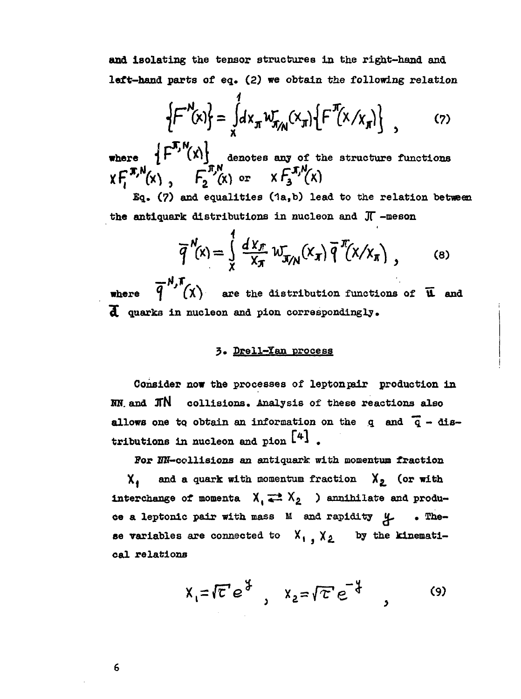**and isolating the tensor structures in the right-hand and left-hand parts of eq. (2) we obtain the following relation**

$$
\left\{F^{N}(x)\right\} = \int_{x}^{1} dx_{\pi} w_{\pi_{N}}(x_{\pi}) \left\{F^{N}(x/x_{\pi})\right\} , \qquad (7)
$$

where  $\uparrow$   $\uparrow$  <sup>'</sup>  $(X)$ ' denotes any of the structure functions  $\ddot{\alpha}$ 

**Eq. (7) and equalities (1a,b) lead to the relation between the antiquark distributions in nucleon and** *Ж* **-meson**

$$
\overline{q}^N(x) = \int\limits_x^1 \frac{d^2 x_{\pi}}{x_{\pi}} w_{\pi/N}(x_{\pi}) \overline{q}^N(x/x_{\pi}), \qquad \text{(8)}
$$

**where**  $\overline{q}^{N,T}(\chi)$  are the distribution functions of **u** and  **quarks in nucleon and pion correspondingly.**

## **3» Drell—Yan process**

Consider now the processes of lepton pair production in **UN. and jrN collisions. Analysis of these reactions also allows** one to obtain an information on the q and  $\overline{q}$  - dis**tributions in nucleon and pion Li .**

For NN-collisions an antiquark with momentum fraction **X**<sub>4</sub> and a quark with momentum fraction  $X_2$  (or with **interchange of momenta**  $X_i \rightleftarrows X_2$  ) annihilate and produce a leptonic pair with mass M and rapidity  $\mu$  . The**se variables are connected to**  $X_1$ **,**  $X_2$  **by the kinematical relations**

$$
X_1 = \sqrt{\epsilon} e^{\frac{\epsilon}{\epsilon}} , \quad X_2 = \sqrt{\epsilon} e^{-\frac{\epsilon}{\epsilon}} , \quad (9)
$$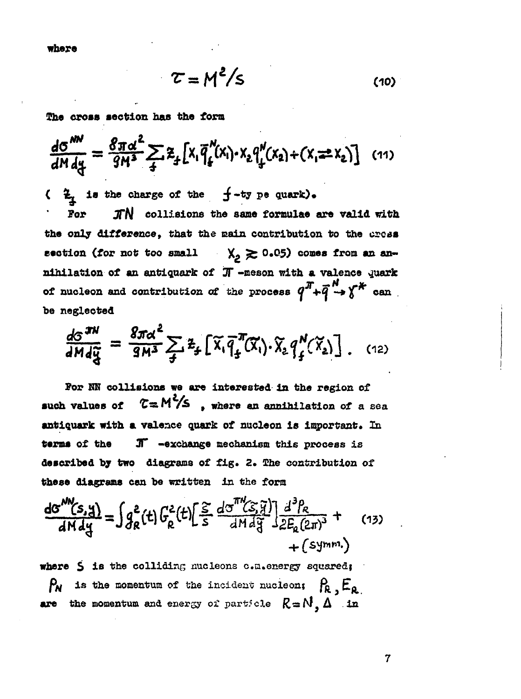**where**

$$
\tau = M^2 / s \tag{10}
$$

**She cross section has the form**

$$
\frac{d\sigma^{NN}}{dM\,dy} = \frac{8\pi\alpha^2}{9M^3} \sum_{4} z_{4} \left[ x_{1} \bar{q}_{4}^{N}(x_{1}) \cdot x_{2} q_{4}^{N}(x_{2}) + (x_{1} \pm x_{2}) \right] \tag{11}
$$

 $\frac{2}{x}$  is the charge of the  $f$ -ty pe quark).

**Por**  $\pi N$  collisions the same formulae are valid with **the only difference, that the main contribution to the crcas section (for not too small**  $X_2 \ge 0.05$ **) comes from an an**nihilation of an antiquark of  $\pi$  -meson with a valence quark of nucleon and contribution of the process  $q^T + \bar{q}^N \rightarrow \gamma^*$  can **be neglected**

$$
\frac{dS^{TM}}{dM d\tilde{g}} = \frac{8\pi\alpha^2}{9M^3} \sum_{\tilde{f}} \tilde{z}_{\tilde{f}} \left[ \tilde{\chi}_1 \tilde{q}_{\tilde{f}}^T(\tilde{\chi}_1) \cdot \tilde{\chi}_2 q_{\tilde{f}}^N(\tilde{\chi}_2) \right]. \quad (12)
$$

**For HN collisions we are interested in the region of such values of Ta M** */S* **, where an annihilation of a sea** antiquark with a valence quark of nucleon is important. In **terms of the JT -exchange mechanism this process is described by two diagrams of fig. 2. She contribution of these diagrams can be written in the form**

$$
\frac{dG^{MN}(s,y)}{dMdy} = \int g_R^2(t) \left[ \frac{c^2}{s} \frac{dG^{TM}(s,y)}{dMdy} \right] \frac{d^3P_R}{dE_R(2\pi)^3} + (13) + (symm.)
$$

**where S is the colliding nucleons c.a.energy squared}**  $P_{\mathsf{N}}$  is the momentum of the incident nucleon;  $P_{\mathsf{R}}$ ,  $E_{\mathsf{R}}$ **are the momentum and energy of particle**  $R = N \Delta$  **in**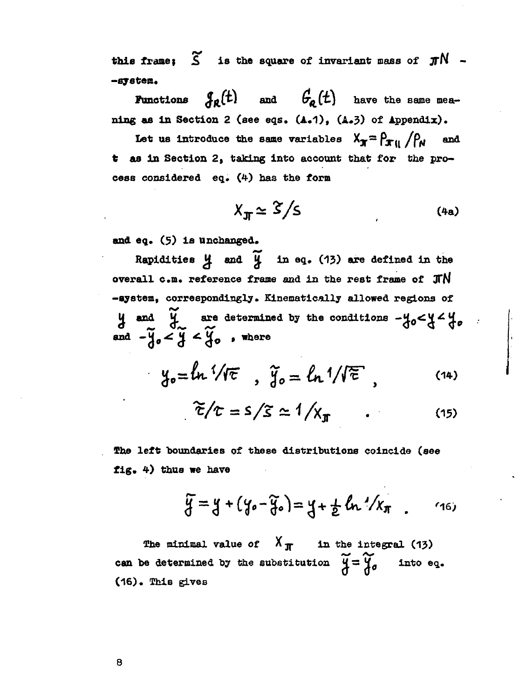this frame:  $\widetilde{S}$  is the square of invariant mass of  $\pi N$  --system.

**Functions**  $\mathcal{J}_{\mathfrak{g}}(t)$  and  $\mathcal{G}_{\mathfrak{g}}(t)$  have the same meaning as in Section 2 (see eqs.  $(A.1)$ ,  $(A.3)$  of Appendix).

Let us introduce the same variables  $X_{\mathbf{x}} = \rho_{\mathbf{x}}_{ii} / \rho_{N}$  and t as in Section 2, taking into account that for the process considered eq. (4) has the form

$$
X_{\text{J}T} \simeq \frac{S}{S} \tag{4a}
$$

and eq. (5) is unchanged.

Rapidities  $\cancel{4}$  and  $\cancel{4}$  in eq. (13) are defined in the overall c.m. reference frame and in the rest frame of JTN -system, correspondingly. Kinematically allowed regions of  $y$  and  $\widetilde{y}$  are determined by the conditions  $-y_0 < y < y_0$ .<br>and  $-\widetilde{y}_0 < \widetilde{y} < \widetilde{y}_0$ , where

$$
y_o = \ln \sqrt[1]{\pi} , \quad \tilde{y}_o = \ln \sqrt[1]{\mathcal{E}}, \quad (14)
$$

$$
\widetilde{\tau}/\tau = s/\widetilde{s} \simeq 1/\chi_{\pi} \qquad . \tag{15}
$$

The left boundaries of these distributions coincide (see fig.  $4$ ) thus we have

$$
\widetilde{y} = y + (y_0 - \widetilde{y}_0) = y + \frac{1}{2} \ln \frac{1}{x} \pi
$$
 (16)

The minimal value of  $X_{\pi}$  in the integral (13) can be determined by the substitution  $\widetilde{y} = \widetilde{y}_\sigma$ into eq. (16). This gives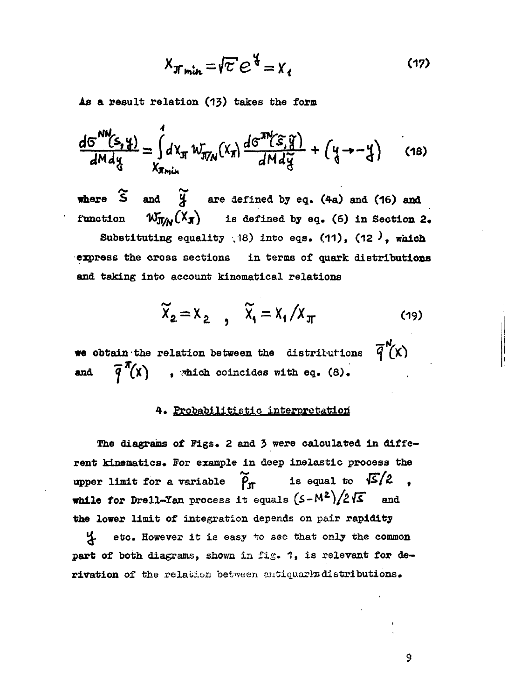$$
X_{\pi_{\text{min}}} = \sqrt{c} e^{\frac{c}{4}} = X_1
$$
 (17)

As a result relation (13) takes the form

$$
\frac{dG^{NN}(s,y)}{dMdy} = \int_{X_{\pi_{min}}}^{1} dX_{\pi} W_{\pi_{NN}}(X_{\pi}) \frac{dG^{NN}(s,y)}{dMdy} + (y \rightarrow -y) \qquad (18)
$$

where S and *%* are defined by eq. (4a) and (16) and function  $W_{\overline{J}/M}(X_{\overline{J}})$  is defined by eq. (6) in Section 2. Substituting equality  $(18)$  into eqs. (11), (12), which express the cross sections in terms of quark distributions and taking into account kinematical relations

$$
\widetilde{X}_2 = X_2 \qquad , \quad \widetilde{X}_1 = X_1 / X_{\pi} \tag{19}
$$

we obtain the relation between the distributions  $\overline{q}^N(x)$ and  $\overline{q}^{\pi}(x)$  , which coincides with eq. (8).

## 4. Probabilitistic interpretation

The diagrams of Figs. 2 and 3 were calculated in different kinematics. For example in deep inelastic process the upper limit for a variable  $\widetilde{\rho}_{\text{tr}}$  is equal to  $\sqrt{S}/2$ while for Drell-Yan process it equals  $(S-M^2)/2\sqrt{S}$  and the lower limit of integration depends on pair rapidity

Jd. etc. However it is easy *\*;o* see that only the common part of both diagrams, shown in fig. 1, is relevant for derivation of the relation between autiquarks distributions.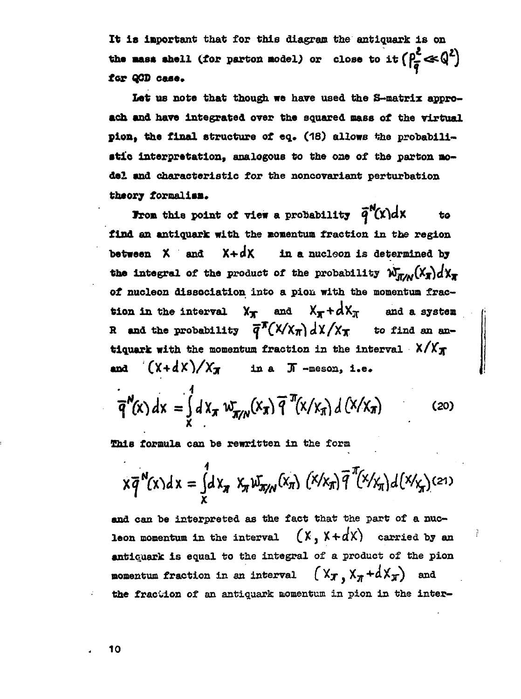**It is important that for this diagram the antiquark is on the mass shell (for parton model) or close to it**  $\left(\frac{\rho^2}{s}\ll Q^2\right)$ **for QOD case.**

**Let us note that though we have used the S-matrix appro ach and have integrated over the squared mass of the virtual pion, the final structure of eq. (18) allows the probabili stic interpretation» analogous to the one of the parton mo del and characteristic for the noncovariant perturbation** theory formalism.

**From this point of view a probability**  $\vec{q}^N(x)dx$  **to find an antiquark with the momentum fraction in the region between X** and  $X + dX$  in a nucleon is determined by **the integral of the product of the probability**  $W_{T/M}^N(X_T) dX_T$ **of nucleon dissociation into a pioii with the momentum frac tion in the interval**  $X_T$  and  $X_T + dX_T$  and a system **H** and the probability  $\overline{q}^N(X/\chi_{\overline{A}}) dX/\chi_{\overline{X}}$  to find an an**tiquark with the momentum fraction in the interval**  $X/X_{\overline{A}}$ **and**  $(X+dX)/X$ *x* in a *K* -meson, i.e.

$$
\overline{q}^N(x) dx = \int_{X} dX_{\pi} w_{\pi/N}(x_{\pi}) \overline{q}^T(x/x_{\pi}) d(X/x_{\pi})
$$
 (20)

This formula can be rewritten in the form

$$
x\overline{q}^{N}(x)dx = \int_{x}^{1} dx_{\pi} x_{\pi} w_{\pi/N}(x_{\pi}) (x/x_{\pi}) \overline{q}^{\pi}(x/x_{\pi}) d(x/x_{\pi})
$$
 (21)

**and** can be interpreted as the fact that the part of a nuc leon momentum in the interval  $(X, X+dX)$  carried by an antiquark is equal to the integral of a product of the pion momentum fraction in an interval (Xx, X<sub>N</sub>+dXx) an the fraction of an antiquark momentum in pion in the inter-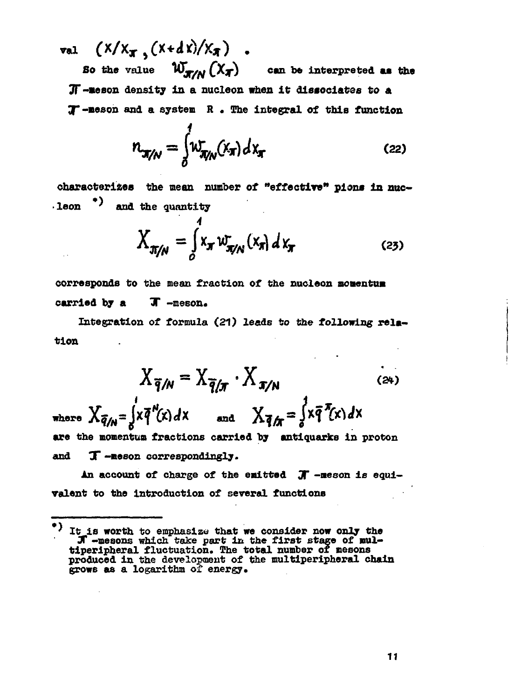val  $(X/X_{\pi} (X + dX)/X_{\pi})$ . So the value  $W_{\pi/N}(X_{\pi})$ can be interpreted as the JI-meson density in a nucleon when it dissociates to a  $T$ -meson and a system  $R$ . The integral of this function

$$
n_{\pi/N} = \int_0^1 w_{\pi/N}^r(x_\pi) dx_\pi
$$
 (22)

characterizes the mean number of "effective" pions in nuc- $\cdot$  leon  $\rightarrow$  and the quantity

$$
X_{\pi/N} = \int_{0}^{1} x_{\pi} w_{\pi/N}^{\dagger} (x_{\pi}) dx_{\pi}
$$
 (23)

corresponds to the mean fraction of the nucleon momentum T-neson. carried by a

Integration of formula (21) leads to the following relation

$$
X_{\overline{q}/N} = X_{\overline{q}/\pi} \cdot X_{\pi/N}
$$
 (24)

where  $X_{\bar{q}/N} = \int x \bar{q}^N(x) dx$  and  $X_{\bar{q}/N} = \int x \bar{q}^N(x) dx$ are the momentum fractions carried by antiquarks in proton and T-meson correspondingly.

An account of charge of the emitted  $J -$  meson is equivalent to the introduction of several functions

<sup>\*)</sup> It is worth to emphasize that we consider now only the It's worth to emphasize that we consider how only the<br>diperipheral fluctuation. The total number of mesons<br>produced in the development of the multiperipheral chain grows as a logarithm of energy.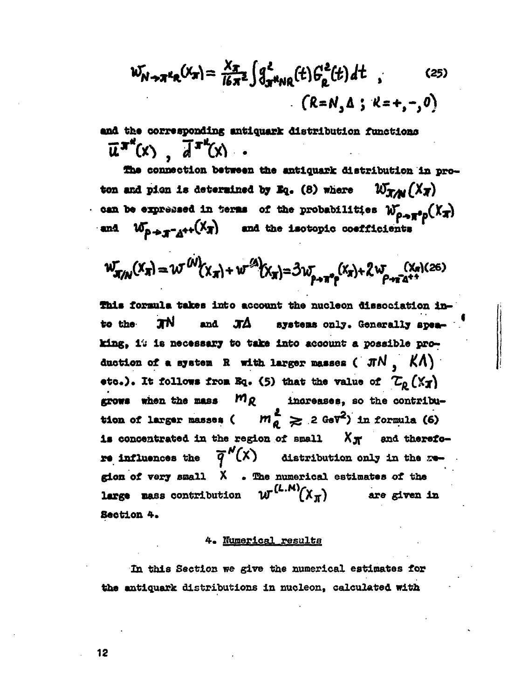$$
W_{N\rightarrow\pi^kR}(X_{\pi}) = \frac{X_{\pi}}{16\pi^2} \int \int_{\pi^kNR}^2(t) \, F_R^2(t) \, dt \quad , \qquad (25)
$$
\n
$$
(R = N, \Delta; K = +, -, 0)
$$

and the corresponding antiquark distribution functions  $\overline{u}^{\pi^k}(x)$ ,  $\overline{d}^{\pi^k}(x)$ .

The connection between the antiquark distribution in proton and pion is determined by Eq. (8) where  $W_{TM}(X_T)$ can be expressed in terms of the probabilities  $w_{\rho \to \pi^0 p}(X_{\pi})$ and  $w_{p+q-q+1}(x_q)$  and the isotopic coefficients

$$
W_{\pi/N}^{\mathsf{r}}(X_{\pi}) = W^{(N)}(X_{\pi}) + w^{(2)}(X_{\pi}) = \mathfrak{Z}w_{\rho \to \pi^{\circ} \rho}^{\mathsf{r}}(X_{\pi}) + 2w_{\rho \to \pi^{\circ} \Delta^{\ast}}^{\mathsf{r}}(X_{\pi})^{(26)}
$$

This formula takes into account the nucleon dissociation insystems only. Generally spea-ЛN to the and ЛΔ king, it is necessary to take into account a possible production of a system R with larger masses ( $\pi N$ ,  $K\Lambda$ ) etc.). It follows from Eq. (5) that the value of  $\mathcal{L}_{0}(\mathbf{X}_{T})$ grows when the mass  $mg$ increases, so the contribu $m_{\ell}^2 \geq 2$  GeV<sup>2</sup>) in formula (6) tion of larger masses ( is concentrated in the region of small  $X_{\overline{N}}$  and therefo- $\overline{q}^N(x)$  distribution only in the xre influences the gion of very small X . The numerical estimates of the  $\boldsymbol{u}^{(L,M)}(\boldsymbol{X}_{\boldsymbol{m}})$ large mass contribution are given in Section 4.

#### 4. Numerical results

In this Section we give the numerical estimates for the antiquark distributions in nucleon. calculated with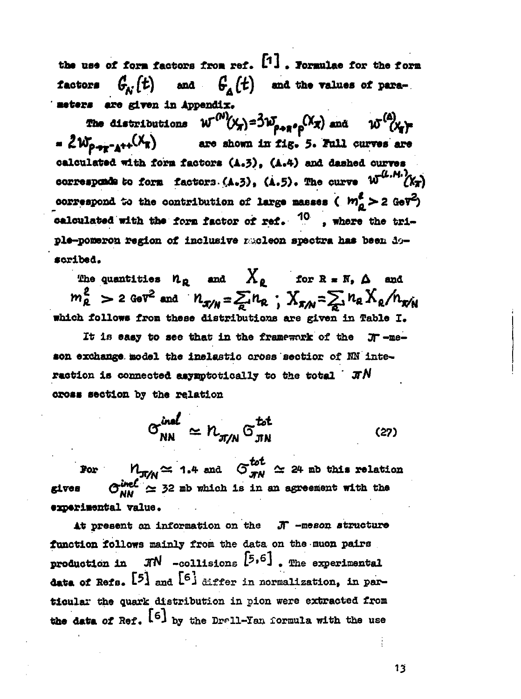the use of form factors from ref.  $[1]$ . Formulae for the form  $G_{\Lambda}$  (t) and  $G_{\Lambda}(t)$  and the values of para**factors** meters are given in Appendix.

The distributions  $W^{(N)}(X_T) = 3W_{\rho \to \pi^0 \rho} (X_T)$  and  $W^{(A)}(X_T)$  $= 2w_{p+r-1} (x_{\pi})$ are shown in fig. 5. Full curves are calculated with form factors (A.3), (A.4) and dashed curves corresponds to form factors  $(4.5)$ ,  $(4.5)$ . The curve  $W^{(L,M)}(X_T)$ correspond to the contribution of large masses ( $m_a^2 > 2$  GeV<sup>2</sup>) calculated with the form factor of ref. <sup>10</sup>, where the triple-pomeron region of inclusive mucleon spectra has been doscribed.

The quantities  $n_{\rho}$  and  $X_{\rho}$  for  $R = N_{\rho} \Delta$  and  $m_R^2$  > 2 GeV<sup>2</sup> and  $n_{\pi/R} = \sum n_R$ ;  $X_{\pi/R} = \sum n_R X_R / n_{\pi/R}$ which follows from these distributions are given in Table I.

It is easy to see that in the framework of the JT-meson exchange model the inelastic cross sectior of NN interaction is connected asymptotically to the total  $\pi N$ cross section by the relation

> $\sigma_{\text{NN}}^{\text{inel}} \simeq n_{\text{min}} \sigma_{\text{min}}^{\text{tot}}$  $(27)$

 $M_{\pi/N} \simeq$  1.4 and  $G_{\pi N}^{tot} \simeq$  24 mb this relation **For**  $G_{\text{NN}}^{\text{ineC}} \simeq 32$  mb which is in an agreement with the gives experimental value.

At present an information on the  $\pi$  -meson structure function follows mainly from the data on the muon pairs production in  $\pi N$  -collisions  $[5,6]$ . The experimental data of Refs.  $[5]$  and  $[6]$  differ in normalization, in particular the quark distribution in pion were extracted from the data of Ref.  $[6]$  by the Drell-Yan formula with the use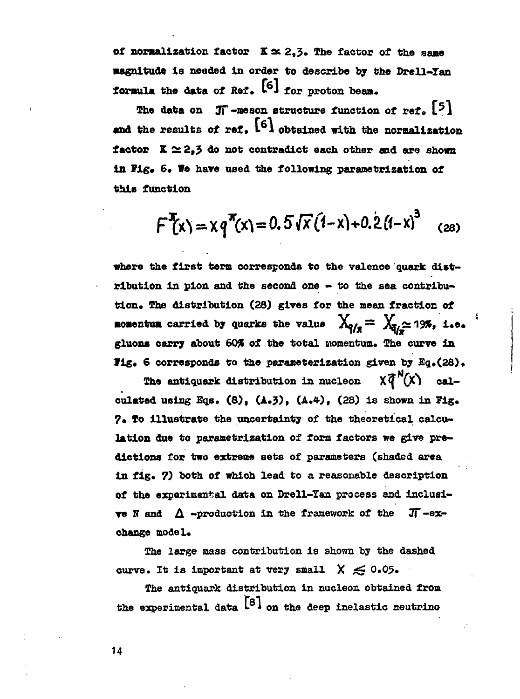of normalization factor  $K \simeq 2.3$ . The factor of the same **magnitude is needed in order to describe by the Drell-Tan formula the data of Ref.** [6] for proton beam.

The data on  $\pi$ -meson structure function of ref.  $[5]$ and the results of ref. <sup>[6]</sup> obtained with the normalization **factor K&2| 3 do not contradict each other and are shown** in Fig. 6. We have used the following parametrization of **this function**

$$
F^{T}(x) = x q^{T}(x) = 0.5 \sqrt{x} (1-x) + 0.2 (1-x)^{3} (28)
$$

**«here the first term corresponds to the valence quark dist ribution in pion and the second one - to the sea contribu tion. The distribution (28) gives for the mean fraction of momentum** carried by quarks the value  $X_{q/q} = X_{\bar{q}/2} \approx 19\%$ , i.e. **gluona carry about 60% of the total momentum. The curve in Fig. 6 corresponds to the parameterization given by Eq.(28).** 

**The antiquark distribution in nucleon**  $\chi \bar{q}^N(x)$  cal**culated using Sqs. (8), (А.З), (А.4-), (28) is shown in Fig. 7. To illustrate the uncertainty of the theoretical calcu lation due to parametrization of form factors we give pre dictions for two extreme sets of parameters (shaded area in fig. 7) both of which lead to a reasonable description of the experimental data on Drell-Yan process and inclusi ve** N and  $\Delta$  -production in the framework of the  $\pi$ -ex**change model.**

**The large mass contribution is shown by the dashed curve.** It is important at very small  $X \leq 0.05$ .

**The antiquark distribution in nucleon obtained from the experimental data** *\*• \** **on the deep inelastic neutrino**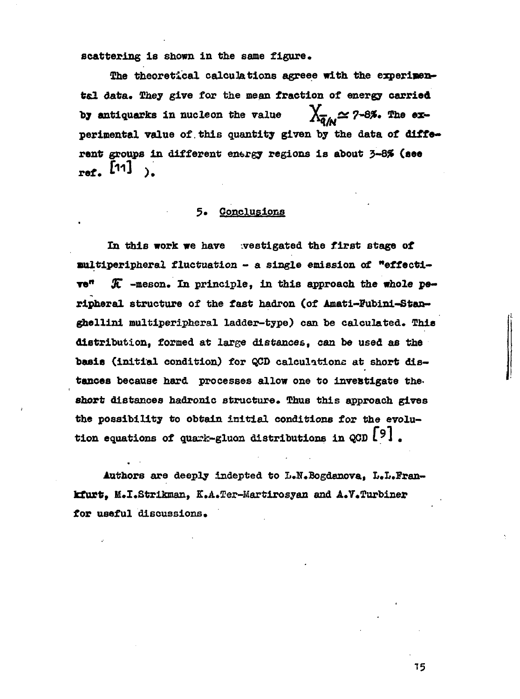scattering is shown in the same figure.

The theoretical calculations agreee with the experimental data. They give for the mean fraction of energy carried by antiquarks in nucleon the value  $\chi_{\pi_L} \simeq$  7-8%. The experimental value of this quantity given by the data of different groups in different energy regions is about 3-8% (see ref.  $[11]$ 

#### Conclusions 5.

In this work we have westigated the first stage of multiperipheral fluctuation - a single emission of "effecti-Te<sup>n</sup> K -meson. In principle, in this approach the whole peripheral structure of the fast hadron (of Amati-Fubini-Stanghellini multiperipheral ladder-type) can be calculated. This distribution, formed at large distances, can be used as the basis (initial condition) for QCD calculations at short distances because hard processes allow one to investigate the short distances hadronic structure. Thus this approach gives the possibility to obtain initial conditions for the evolution equations of quark-gluon distributions in  $\cosh 191$ .

Authors are deeply indepted to L.N.Bogdanova. L.L.Frankfurt, M.I.Strikman, K.A.Ter-Martirosyan and A.V.Turbiner for useful discussions.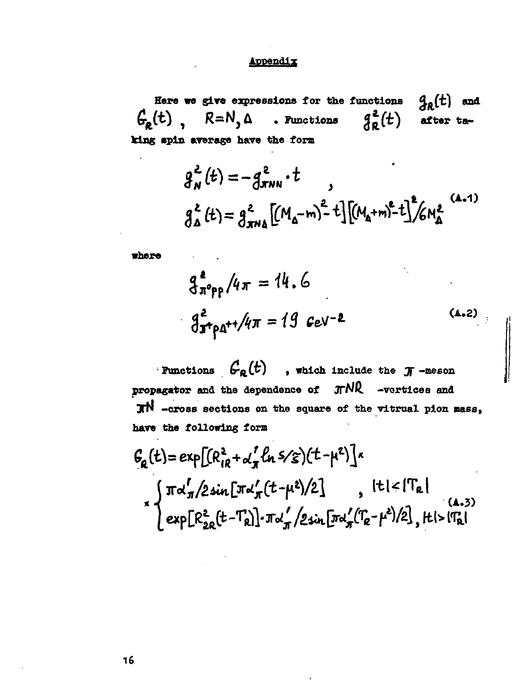## Appendix

 $g_R(t)$  and Here we give expressions for the functions  $G_R(t)$ ,  $R=N$ ,  $\Delta$  . Functions  $g_R^2(t)$  after taking spin average have the form

$$
g_N^2(t) = -g_{NNN}^2 \cdot t
$$
  

$$
g_{\Delta}^2(t) = g_{NN\Delta}^2 \left[ (M_{\Delta} - m)^2 + t \right] \left[ (M_{\Delta} + m)^2 - t \right]^2 / 6M_{\Delta}^2
$$
 (4.1)

where

$$
q_{\pi^{\circ}p p}^2 / 4\pi = 14.6
$$
  

$$
q_{\pi^{\circ}p \Delta^{++}}^2 / 4\pi = 19 \text{ GeV}^{-2}
$$
 (4.2)

Functions  $G_R(t)$ , which include the  $\pi$ -meson propagator and the dependence of JTNR -vertices and  $\pi N$  -cross sections on the square of the vitrual pion mass, have the following form

$$
G_{\mathbf{a}}(t) = \exp\left[ (R_{iR}^{2} + \alpha_{\pi}^{'} \ln 5/\epsilon) (t - \mu^{2}) \right] \times
$$
\n
$$
\int \pi \alpha_{\pi}^{'} / 2 \sin \left[ \pi \alpha_{\pi}^{'} (t - \mu^{2}) / 2 \right] , \quad |t| < |T_{\mathbf{a}}|
$$
\n
$$
\exp\left[ R_{2\mathbf{a}}^{2} (t - T_{\mathbf{a}}) \right] \cdot \pi \alpha_{\pi}^{'} / 2 \sin \left[ \pi \alpha_{\pi}^{'} (T_{\mathbf{a}} - \mu^{2}) / 2 \right], \quad |t| > |T_{\mathbf{a}}|
$$
\n(4.3)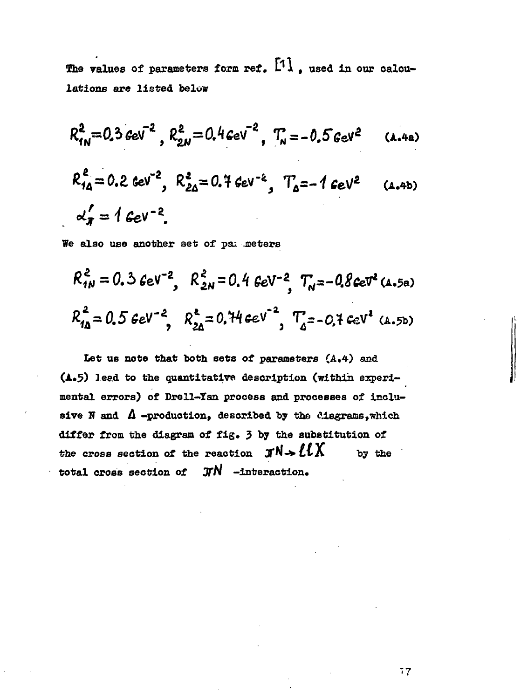The values of parameters form ref. [1], used in our calcu**lations are listed below**

$$
R_{1N}^2 = 0.3 \text{ GeV}^{-2}, R_{2N}^2 = 0.4 \text{ GeV}^{-2}, T_N = -0.5 \text{ GeV}^2 \quad (A.4a)
$$

$$
R_{14}^2 = 0.2 \text{ GeV}^{-2}, R_{24}^2 = 0.7 \text{ GeV}^{-2}, T_{4} = -1 \text{ GeV}^2
$$
 (4.4b)  
 $\alpha'_{\pi} = 1 \text{ GeV}^{-2}$ .

We also use another set of pax meters

$$
R_{1N}^2 = 0.3 \text{ GeV}^{-2}
$$
,  $R_{2N}^2 = 0.4 \text{ GeV}^{-2}$ ,  $T_N = -0.8 \text{ GeV}^2$  (A.5a)  
 $R_{1\Delta}^2 = 0.5 \text{ GeV}^{-2}$ ,  $R_{2\Delta}^2 = 0.74 \text{ GeV}^{-2}$ ,  $T_{\Delta}^2 = -0.7 \text{ GeV}^2$  (A.5b)

**Let us note that both sets of parameters (A.4) and (A\*?) lead to the quantitative description (within experi mental errors) of Drell-Xan process and processes of inclu** sive N and  $\Lambda$  -production, described by the clagrams, which **differ from the diagram of fig» 5 by the substitution of** the cross section of the reaction  $\mathbf{J} \mathbf{N} \rightarrow \mathbf{L} \mathbf{L} \mathbf{X}$  by the **total cross section of**  $\text{J/N}$  -interaction.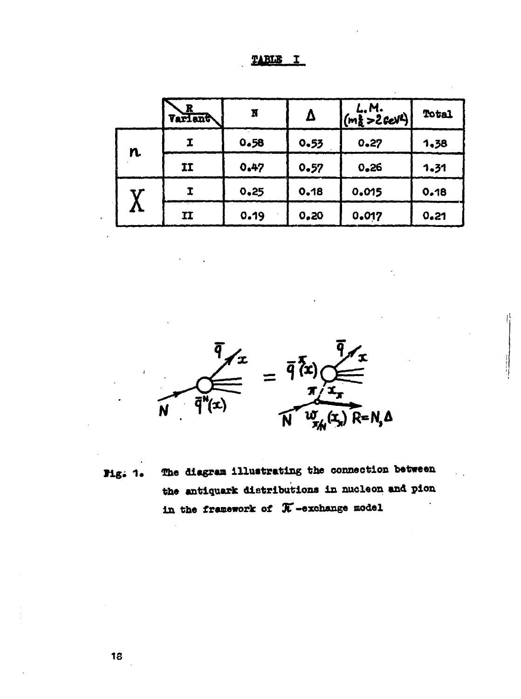| л. | 49 H |  |
|----|------|--|
|    |      |  |

|    | $1 \frac{R}{\text{Varian}}$ | N    | Δ    | $\begin{vmatrix} L. M. \\ (m_R^2 > 2 \text{ GeV}^2) \end{vmatrix}$ | Total |
|----|-----------------------------|------|------|--------------------------------------------------------------------|-------|
| n. |                             | 0.58 | 0.53 | 0.27                                                               | 1.38  |
|    | II                          | 0.47 | 0.57 | 0.26                                                               | 1.31  |
|    |                             | 0.25 | 0.18 | 0.015                                                              | 0.18  |
|    | ${\bf I}$                   | 0.19 | 0.20 | 0.017                                                              | 0.21  |



The diagram illustrating the connection between Fig. 1. the antiquark distributions in nucleon and pion in the framework of  $\pi$ -exchange model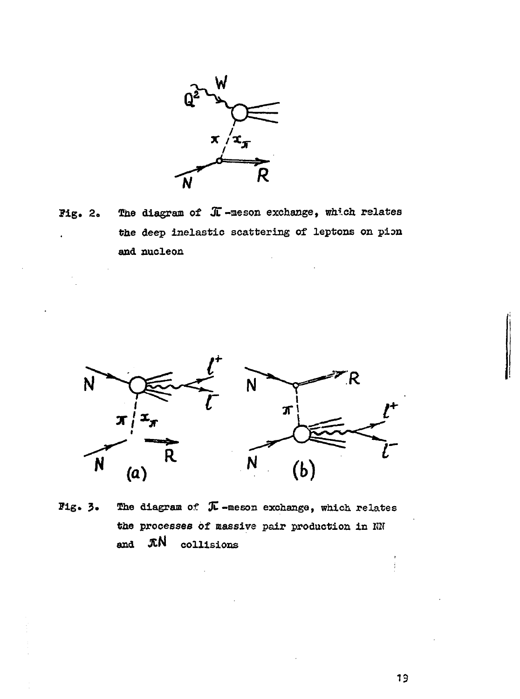

Pig» 2. The diagram of *Ж* -meson exchange, which relates the deep inelastic scattering of leptons on pion and nucleon



Pig. 3. Ihe diagram of *%* -meson exchange, which relates the processes of massive pair production in *Ш* and JtN collisions

19

ŧ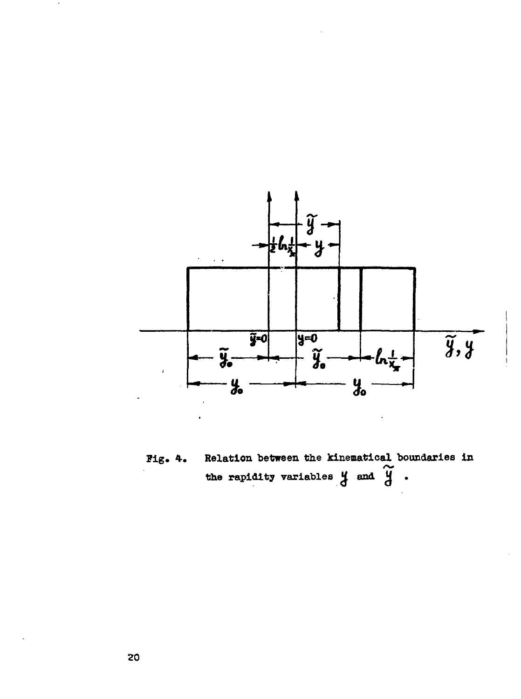

Relation between the kinematical boundaries in Fig. 4. the rapidity variables  $y$  and  $\widetilde{y}$ .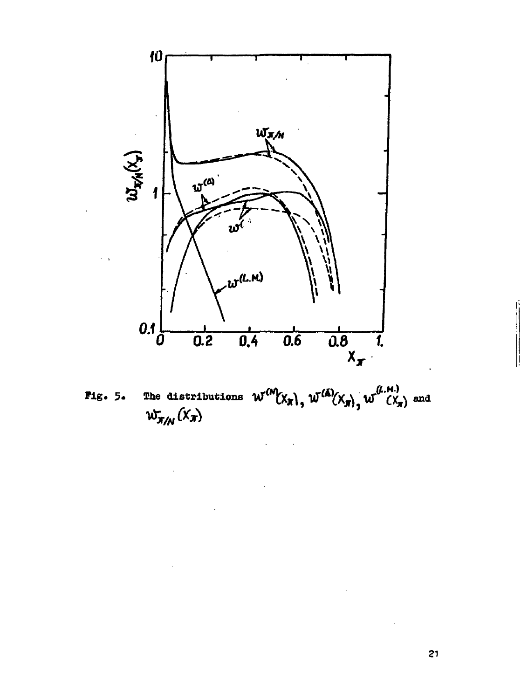

The distributions  $W^{(M)}(X_{\pi})$ ,  $W^{(\Delta)}(X_{\pi})$ ,  $W^{(\mu,\mu)}(X_{\pi})$  and  $Fig. 5.$  $\omega_{\pi/\!\!{}N}^{\phantom{\dagger}}\,( \mathbf{x}_{\pi}^{\phantom{\dagger}})$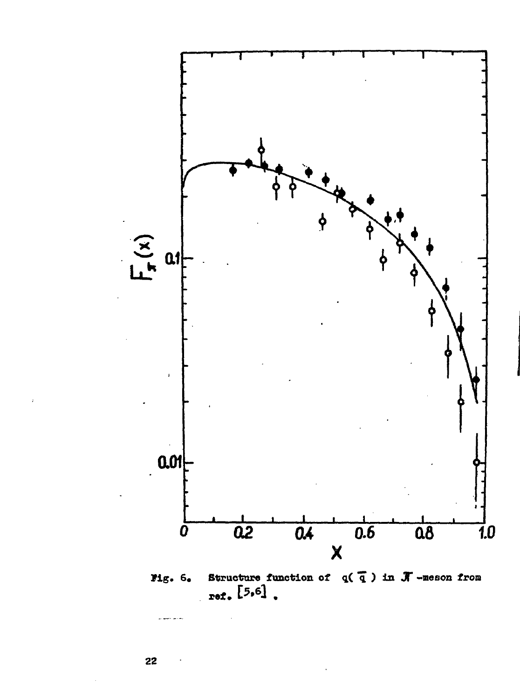

Structure function of  $q(\overline{q})$  in  $\overline{J}$  -meson from<br>ref. [5,6].

al mere mond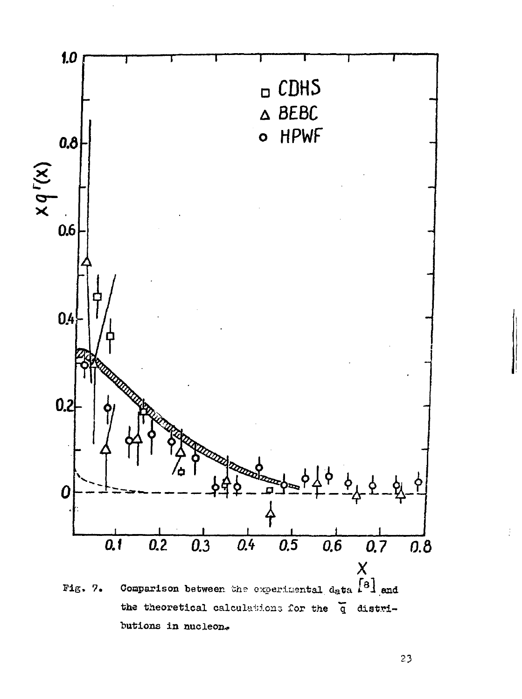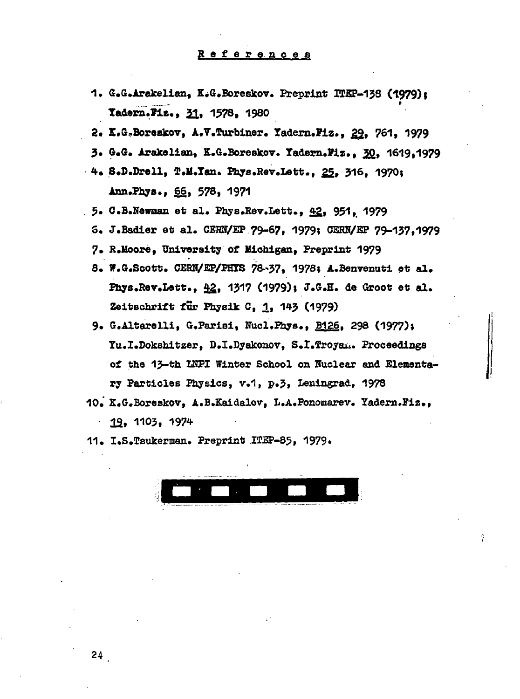- 1. G.G.Arakelian, K.G.Boreskov. Preprint ITEP-138 (1979); **Tadern.Fiz., 31, 1578, 1980**
- 2. K.G.Boreakov, A.V.Turbiner. Yadern.Fiz., 29, 761, 1979
- **3\* G.G. Aratelian, K.G.Boreskov. Tadern.Piz., 22» 1619,1979**
- **<sup>4</sup> . S.D.Drell, T.M.Tan. Phys.Rev.Lett., 22» 316, 197О; inn.Pbye., S§, 578, 1971**
- **. 5» C.B.NewBan et al. PliyB.Rev.Lett., 4£, 951,, 1979**
	- 5. J.Badier et al. CERN/EP 79-67, 1979; CERN/EP 79-137, 1979
	- **7. R.Moore, University of Michigan, Preprint 1979**
	- **8. W.G.Scott. CEBN/EP/PHIS 78-37, 1978; A.Benvenuti et al. Pnys.Rev.bett., 22» 43<sup>1</sup>7 (1979)» J.G.H. de Groot et al. Zeitscarilt fur Physik С, Д., 1Ч-3 (1979)**
	- **9. G.Altarelli, G.Parisi, Nucl.Phys., B126. 298 (1977)» Tu.I.Dokshitzer, D.I.Dyakonov, S.I.Troyau. Proceedings** of the 13-th INPI Winter School on Nuclear and Elementa**ry Particles Physics, v.1, p.5, Leningrad, 1978**
- **10. Z.G.Boreskov, A.B.Kaidalov, L.A.Ponomarev. Tadern.Piz., 32, 1103, 1974**
- **11. I.S.Teukerman. Preprint ITEP-85, 1979»**

ş.